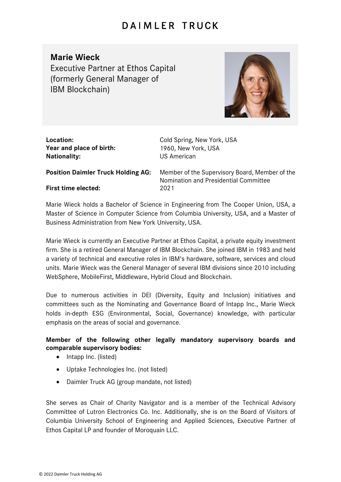## DAIMLER TRUCK

**Marie Wieck** Executive Partner at Ethos Capital (formerly General Manager of IBM Blockchain)



| Location:<br>Year and place of birth:<br><b>Nationality:</b> | Cold Spring, New York, USA<br>1960, New York, USA<br><b>US American</b>                 |
|--------------------------------------------------------------|-----------------------------------------------------------------------------------------|
| <b>Position Daimler Truck Holding AG:</b>                    | Member of the Supervisory Board, Member of the<br>Nomination and Presidential Committee |
| <b>First time elected:</b>                                   | 2021                                                                                    |
|                                                              | Marie Wiegle belde e Dechaler of Coicpea in Engineering from The Cooper Union UCA of    |

Marie Wieck holds a Bachelor of Science in Engineering from The Cooper Union, USA, a Master of Science in Computer Science from Columbia University, USA, and a Master of Business Administration from New York University, USA.

Marie Wieck is currently an Executive Partner at Ethos Capital, a private equity investment firm. She is a retired General Manager of IBM Blockchain. She joined IBM in 1983 and held a variety of technical and executive roles in IBM's hardware, software, services and cloud units. Marie Wieck was the General Manager of several IBM divisions since 2010 including WebSphere, MobileFirst, Middleware, Hybrid Cloud and Blockchain.

Due to numerous activities in DEI (Diversity, Equity and Inclusion) initiatives and committees such as the Nominating and Governance Board of Intapp Inc., Marie Wieck holds in-depth ESG (Environmental, Social, Governance) knowledge, with particular emphasis on the areas of social and governance.

## **Member of the following other legally mandatory supervisory boards and comparable supervisory bodies:**

- Intapp Inc. (listed)
- Uptake Technologies Inc. (not listed)
- Daimler Truck AG (group mandate, not listed)

She serves as Chair of Charity Navigator and is a member of the Technical Advisory Committee of Lutron Electronics Co. Inc. Additionally, she is on the Board of Visitors of Columbia University School of Engineering and Applied Sciences, Executive Partner of Ethos Capital LP and founder of Moroquain LLC.